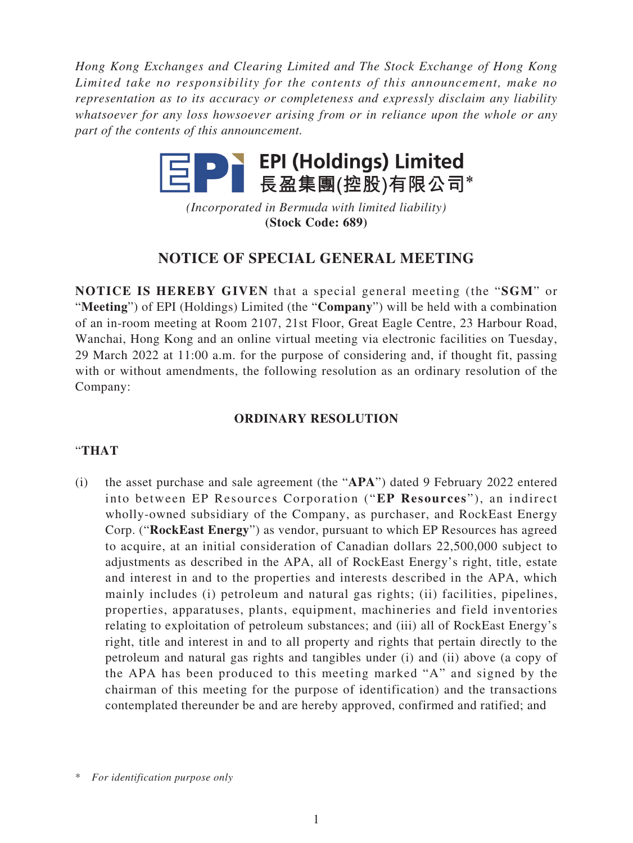*Hong Kong Exchanges and Clearing Limited and The Stock Exchange of Hong Kong Limited take no responsibility for the contents of this announcement, make no representation as to its accuracy or completeness and expressly disclaim any liability whatsoever for any loss howsoever arising from or in reliance upon the whole or any part of the contents of this announcement.*



*(Incorporated in Bermuda with limited liability)* **(Stock Code: 689)**

# **NOTICE OF SPECIAL GENERAL MEETING**

**NOTICE IS HEREBY GIVEN** that a special general meeting (the "**SGM**" or "**Meeting**") of EPI (Holdings) Limited (the "**Company**") will be held with a combination of an in-room meeting at Room 2107, 21st Floor, Great Eagle Centre, 23 Harbour Road, Wanchai, Hong Kong and an online virtual meeting via electronic facilities on Tuesday, 29 March 2022 at 11:00 a.m. for the purpose of considering and, if thought fit, passing with or without amendments, the following resolution as an ordinary resolution of the Company:

# **ORDINARY RESOLUTION**

# "**THAT**

(i) the asset purchase and sale agreement (the "**APA**") dated 9 February 2022 entered into between EP Resources Corporation ("**EP Resources**"), an indirect wholly-owned subsidiary of the Company, as purchaser, and RockEast Energy Corp. ("**RockEast Energy**") as vendor, pursuant to which EP Resources has agreed to acquire, at an initial consideration of Canadian dollars 22,500,000 subject to adjustments as described in the APA, all of RockEast Energy's right, title, estate and interest in and to the properties and interests described in the APA, which mainly includes (i) petroleum and natural gas rights; (ii) facilities, pipelines, properties, apparatuses, plants, equipment, machineries and field inventories relating to exploitation of petroleum substances; and (iii) all of RockEast Energy's right, title and interest in and to all property and rights that pertain directly to the petroleum and natural gas rights and tangibles under (i) and (ii) above (a copy of the APA has been produced to this meeting marked "A" and signed by the chairman of this meeting for the purpose of identification) and the transactions contemplated thereunder be and are hereby approved, confirmed and ratified; and

<sup>\*</sup> *For identification purpose only*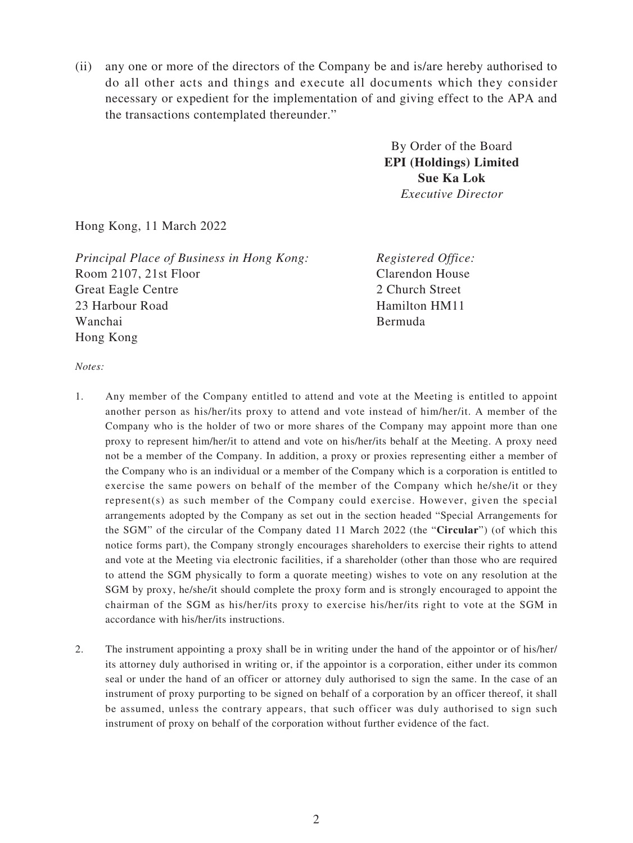(ii) any one or more of the directors of the Company be and is/are hereby authorised to do all other acts and things and execute all documents which they consider necessary or expedient for the implementation of and giving effect to the APA and the transactions contemplated thereunder."

> By Order of the Board **EPI (Holdings) Limited Sue Ka Lok** *Executive Director*

Hong Kong, 11 March 2022

*Principal Place of Business in Hong Kong:* Room 2107, 21st Floor Great Eagle Centre 23 Harbour Road Wanchai Hong Kong

*Registered Office:* Clarendon House 2 Church Street Hamilton HM11 Bermuda

*Notes:*

- 1. Any member of the Company entitled to attend and vote at the Meeting is entitled to appoint another person as his/her/its proxy to attend and vote instead of him/her/it. A member of the Company who is the holder of two or more shares of the Company may appoint more than one proxy to represent him/her/it to attend and vote on his/her/its behalf at the Meeting. A proxy need not be a member of the Company. In addition, a proxy or proxies representing either a member of the Company who is an individual or a member of the Company which is a corporation is entitled to exercise the same powers on behalf of the member of the Company which he/she/it or they represent(s) as such member of the Company could exercise. However, given the special arrangements adopted by the Company as set out in the section headed "Special Arrangements for the SGM" of the circular of the Company dated 11 March 2022 (the "**Circular**") (of which this notice forms part), the Company strongly encourages shareholders to exercise their rights to attend and vote at the Meeting via electronic facilities, if a shareholder (other than those who are required to attend the SGM physically to form a quorate meeting) wishes to vote on any resolution at the SGM by proxy, he/she/it should complete the proxy form and is strongly encouraged to appoint the chairman of the SGM as his/her/its proxy to exercise his/her/its right to vote at the SGM in accordance with his/her/its instructions.
- 2. The instrument appointing a proxy shall be in writing under the hand of the appointor or of his/her/ its attorney duly authorised in writing or, if the appointor is a corporation, either under its common seal or under the hand of an officer or attorney duly authorised to sign the same. In the case of an instrument of proxy purporting to be signed on behalf of a corporation by an officer thereof, it shall be assumed, unless the contrary appears, that such officer was duly authorised to sign such instrument of proxy on behalf of the corporation without further evidence of the fact.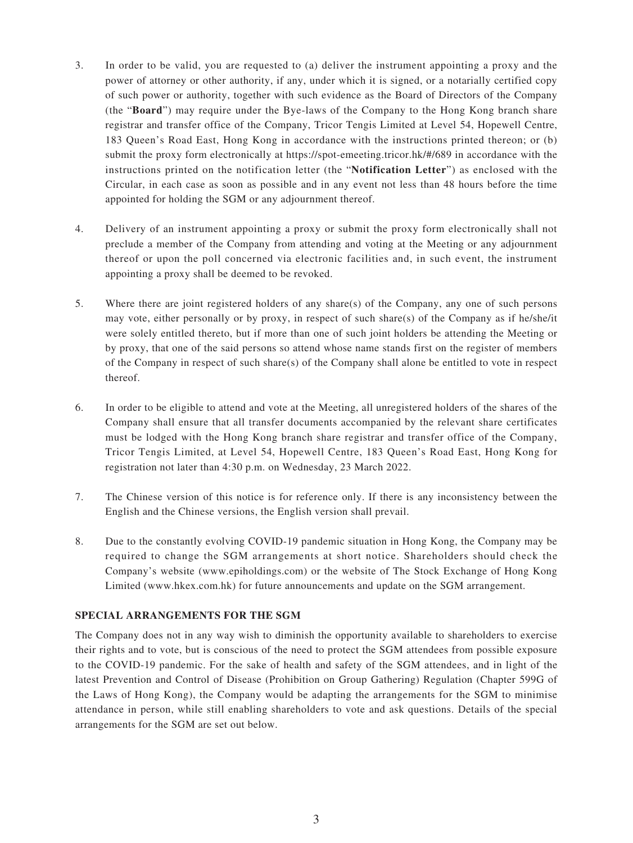- 3. In order to be valid, you are requested to (a) deliver the instrument appointing a proxy and the power of attorney or other authority, if any, under which it is signed, or a notarially certified copy of such power or authority, together with such evidence as the Board of Directors of the Company (the "**Board**") may require under the Bye-laws of the Company to the Hong Kong branch share registrar and transfer office of the Company, Tricor Tengis Limited at Level 54, Hopewell Centre, 183 Queen's Road East, Hong Kong in accordance with the instructions printed thereon; or (b) submit the proxy form electronically at https://spot-emeeting.tricor.hk/#/689 in accordance with the instructions printed on the notification letter (the "**Notification Letter**") as enclosed with the Circular, in each case as soon as possible and in any event not less than 48 hours before the time appointed for holding the SGM or any adjournment thereof.
- 4. Delivery of an instrument appointing a proxy or submit the proxy form electronically shall not preclude a member of the Company from attending and voting at the Meeting or any adjournment thereof or upon the poll concerned via electronic facilities and, in such event, the instrument appointing a proxy shall be deemed to be revoked.
- 5. Where there are joint registered holders of any share(s) of the Company, any one of such persons may vote, either personally or by proxy, in respect of such share(s) of the Company as if he/she/it were solely entitled thereto, but if more than one of such joint holders be attending the Meeting or by proxy, that one of the said persons so attend whose name stands first on the register of members of the Company in respect of such share(s) of the Company shall alone be entitled to vote in respect thereof.
- 6. In order to be eligible to attend and vote at the Meeting, all unregistered holders of the shares of the Company shall ensure that all transfer documents accompanied by the relevant share certificates must be lodged with the Hong Kong branch share registrar and transfer office of the Company, Tricor Tengis Limited, at Level 54, Hopewell Centre, 183 Queen's Road East, Hong Kong for registration not later than 4:30 p.m. on Wednesday, 23 March 2022.
- 7. The Chinese version of this notice is for reference only. If there is any inconsistency between the English and the Chinese versions, the English version shall prevail.
- 8. Due to the constantly evolving COVID-19 pandemic situation in Hong Kong, the Company may be required to change the SGM arrangements at short notice. Shareholders should check the Company's website (www.epiholdings.com) or the website of The Stock Exchange of Hong Kong Limited (www.hkex.com.hk) for future announcements and update on the SGM arrangement.

# **SPECIAL ARRANGEMENTS FOR THE SGM**

The Company does not in any way wish to diminish the opportunity available to shareholders to exercise their rights and to vote, but is conscious of the need to protect the SGM attendees from possible exposure to the COVID-19 pandemic. For the sake of health and safety of the SGM attendees, and in light of the latest Prevention and Control of Disease (Prohibition on Group Gathering) Regulation (Chapter 599G of the Laws of Hong Kong), the Company would be adapting the arrangements for the SGM to minimise attendance in person, while still enabling shareholders to vote and ask questions. Details of the special arrangements for the SGM are set out below.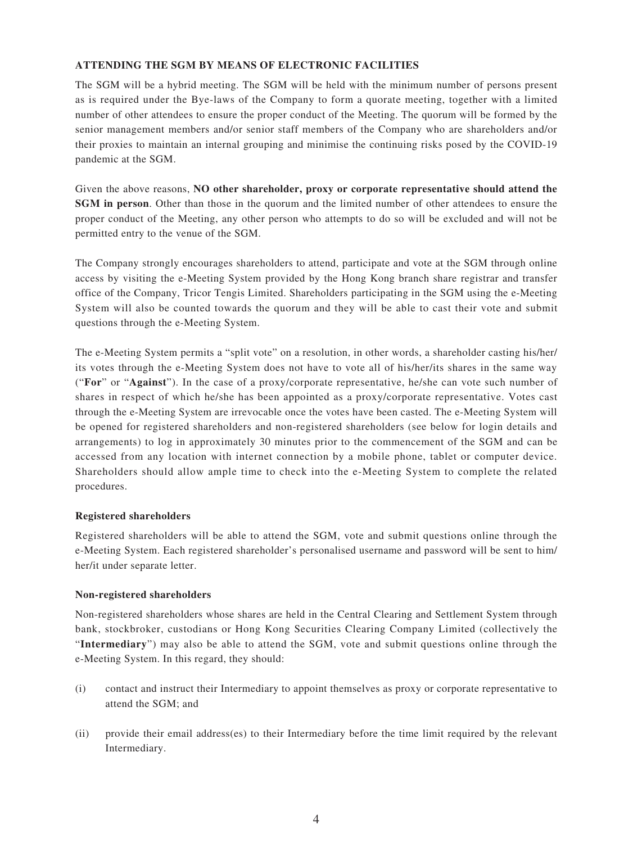# **ATTENDING THE SGM BY MEANS OF ELECTRONIC FACILITIES**

The SGM will be a hybrid meeting. The SGM will be held with the minimum number of persons present as is required under the Bye-laws of the Company to form a quorate meeting, together with a limited number of other attendees to ensure the proper conduct of the Meeting. The quorum will be formed by the senior management members and/or senior staff members of the Company who are shareholders and/or their proxies to maintain an internal grouping and minimise the continuing risks posed by the COVID-19 pandemic at the SGM.

Given the above reasons, **NO other shareholder, proxy or corporate representative should attend the SGM in person**. Other than those in the quorum and the limited number of other attendees to ensure the proper conduct of the Meeting, any other person who attempts to do so will be excluded and will not be permitted entry to the venue of the SGM.

The Company strongly encourages shareholders to attend, participate and vote at the SGM through online access by visiting the e-Meeting System provided by the Hong Kong branch share registrar and transfer office of the Company, Tricor Tengis Limited. Shareholders participating in the SGM using the e-Meeting System will also be counted towards the quorum and they will be able to cast their vote and submit questions through the e-Meeting System.

The e-Meeting System permits a "split vote" on a resolution, in other words, a shareholder casting his/her/ its votes through the e-Meeting System does not have to vote all of his/her/its shares in the same way ("**For**" or "**Against**"). In the case of a proxy/corporate representative, he/she can vote such number of shares in respect of which he/she has been appointed as a proxy/corporate representative. Votes cast through the e-Meeting System are irrevocable once the votes have been casted. The e-Meeting System will be opened for registered shareholders and non-registered shareholders (see below for login details and arrangements) to log in approximately 30 minutes prior to the commencement of the SGM and can be accessed from any location with internet connection by a mobile phone, tablet or computer device. Shareholders should allow ample time to check into the e-Meeting System to complete the related procedures.

# **Registered shareholders**

Registered shareholders will be able to attend the SGM, vote and submit questions online through the e-Meeting System. Each registered shareholder's personalised username and password will be sent to him/ her/it under separate letter.

# **Non-registered shareholders**

Non-registered shareholders whose shares are held in the Central Clearing and Settlement System through bank, stockbroker, custodians or Hong Kong Securities Clearing Company Limited (collectively the "**Intermediary**") may also be able to attend the SGM, vote and submit questions online through the e-Meeting System. In this regard, they should:

- (i) contact and instruct their Intermediary to appoint themselves as proxy or corporate representative to attend the SGM; and
- (ii) provide their email address(es) to their Intermediary before the time limit required by the relevant Intermediary.